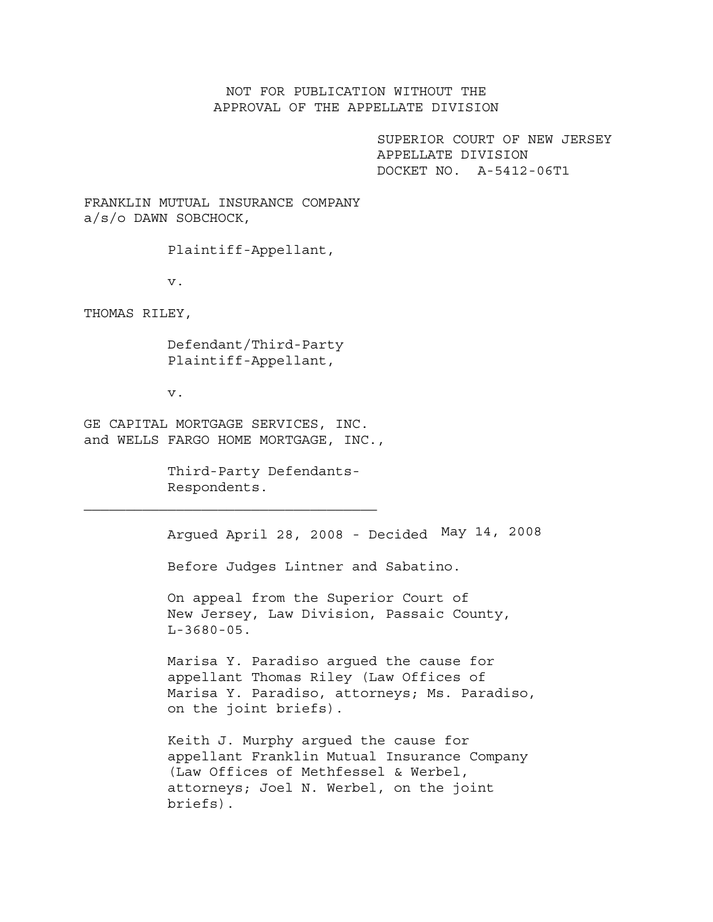NOT FOR PUBLICATION WITHOUT THE APPROVAL OF THE APPELLATE DIVISION

> SUPERIOR COURT OF NEW JERSEY APPELLATE DIVISION DOCKET NO. A-5412-06T1

FRANKLIN MUTUAL INSURANCE COMPANY a/s/o DAWN SOBCHOCK,

Plaintiff-Appellant,

v.

THOMAS RILEY,

 Defendant/Third-Party Plaintiff-Appellant,

v.

GE CAPITAL MORTGAGE SERVICES, INC. and WELLS FARGO HOME MORTGAGE, INC.,

> Third-Party Defendants- Respondents.

Argued April 28, 2008 - Decided May 14, 2008

Before Judges Lintner and Sabatino.

On appeal from the Superior Court of New Jersey, Law Division, Passaic County,  $L-3680-05$ .

Marisa Y. Paradiso argued the cause for appellant Thomas Riley (Law Offices of Marisa Y. Paradiso, attorneys; Ms. Paradiso, on the joint briefs).

Keith J. Murphy argued the cause for appellant Franklin Mutual Insurance Company (Law Offices of Methfessel & Werbel, attorneys; Joel N. Werbel, on the joint briefs).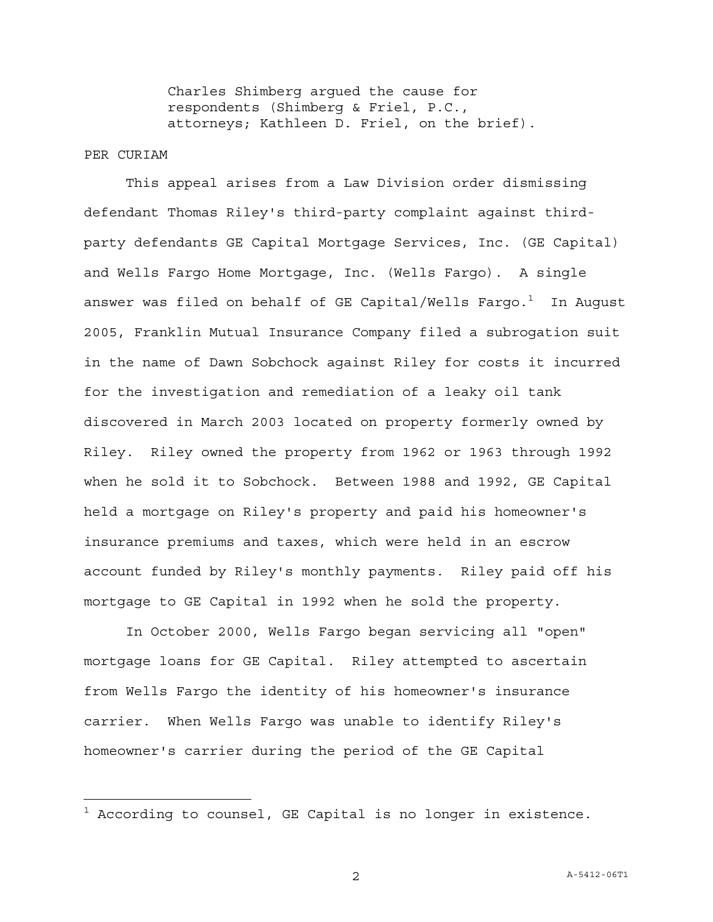Charles Shimberg argued the cause for respondents (Shimberg & Friel, P.C., attorneys; Kathleen D. Friel, on the brief).

## PER CURIAM

—<br>—

This appeal arises from a Law Division order dismissing defendant Thomas Riley's third-party complaint against thirdparty defendants GE Capital Mortgage Services, Inc. (GE Capital) and Wells Fargo Home Mortgage, Inc. (Wells Fargo). A single answer was filed on behalf of GE Capital/Wells Fargo. $^{\rm 1}$  In August 2005, Franklin Mutual Insurance Company filed a subrogation suit in the name of Dawn Sobchock against Riley for costs it incurred for the investigation and remediation of a leaky oil tank discovered in March 2003 located on property formerly owned by Riley. Riley owned the property from 1962 or 1963 through 1992 when he sold it to Sobchock. Between 1988 and 1992, GE Capital held a mortgage on Riley's property and paid his homeowner's insurance premiums and taxes, which were held in an escrow account funded by Riley's monthly payments. Riley paid off his mortgage to GE Capital in 1992 when he sold the property.

In October 2000, Wells Fargo began servicing all "open" mortgage loans for GE Capital. Riley attempted to ascertain from Wells Fargo the identity of his homeowner's insurance carrier. When Wells Fargo was unable to identify Riley's homeowner's carrier during the period of the GE Capital

 $^{\rm 1}$  According to counsel, GE Capital is no longer in existence.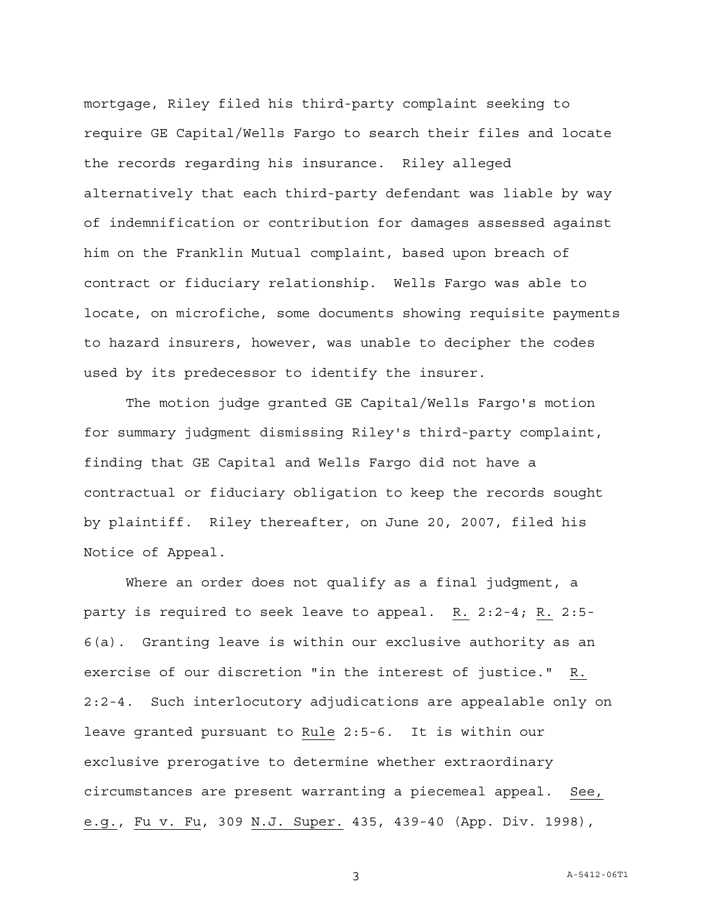mortgage, Riley filed his third-party complaint seeking to require GE Capital/Wells Fargo to search their files and locate the records regarding his insurance. Riley alleged alternatively that each third-party defendant was liable by way of indemnification or contribution for damages assessed against him on the Franklin Mutual complaint, based upon breach of contract or fiduciary relationship. Wells Fargo was able to locate, on microfiche, some documents showing requisite payments to hazard insurers, however, was unable to decipher the codes used by its predecessor to identify the insurer.

The motion judge granted GE Capital/Wells Fargo's motion for summary judgment dismissing Riley's third-party complaint, finding that GE Capital and Wells Fargo did not have a contractual or fiduciary obligation to keep the records sought by plaintiff. Riley thereafter, on June 20, 2007, filed his Notice of Appeal.

Where an order does not qualify as a final judgment, a party is required to seek leave to appeal. R. 2:2-4; R. 2:5- 6(a). Granting leave is within our exclusive authority as an exercise of our discretion "in the interest of justice." R. 2:2-4. Such interlocutory adjudications are appealable only on leave granted pursuant to Rule 2:5-6. It is within our exclusive prerogative to determine whether extraordinary circumstances are present warranting a piecemeal appeal. See, e.g., Fu v. Fu, 309 N.J. Super. 435, 439-40 (App. Div. 1998),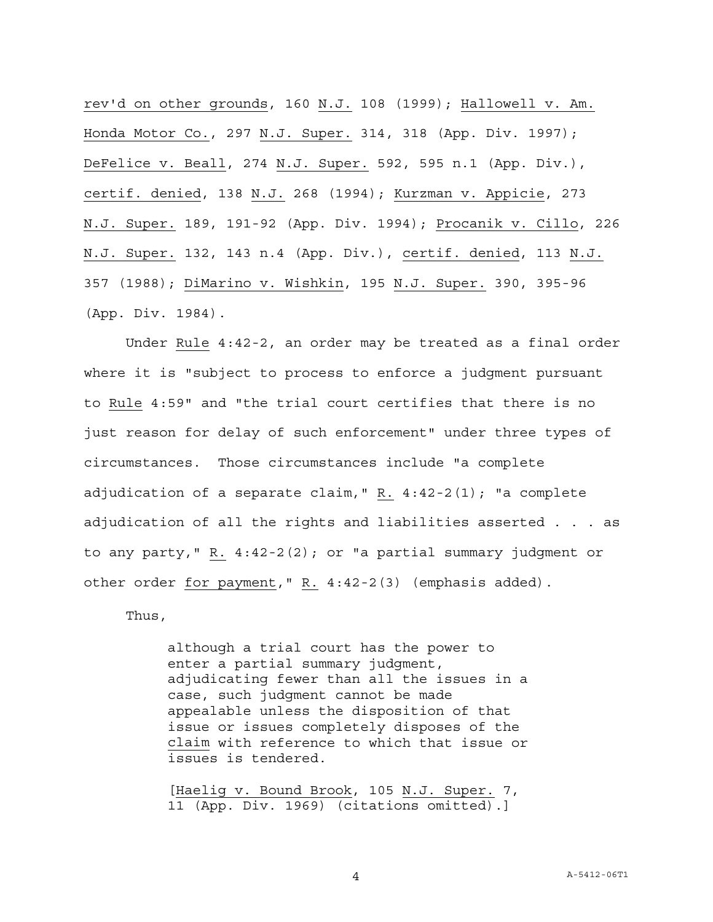rev'd on other grounds, 160 N.J. 108 (1999); Hallowell v. Am. Honda Motor Co., 297 N.J. Super. 314, 318 (App. Div. 1997); DeFelice v. Beall, 274 N.J. Super. 592, 595 n.1 (App. Div.), certif. denied, 138 N.J. 268 (1994); Kurzman v. Appicie, 273 N.J. Super. 189, 191-92 (App. Div. 1994); Procanik v. Cillo, 226 N.J. Super. 132, 143 n.4 (App. Div.), certif. denied, 113 N.J. 357 (1988); DiMarino v. Wishkin, 195 N.J. Super. 390, 395-96 (App. Div. 1984).

Under Rule 4:42-2, an order may be treated as a final order where it is "subject to process to enforce a judgment pursuant to Rule 4:59" and "the trial court certifies that there is no just reason for delay of such enforcement" under three types of circumstances. Those circumstances include "a complete adjudication of a separate claim," R. 4:42-2(1); "a complete adjudication of all the rights and liabilities asserted . . . as to any party," R. 4:42-2(2); or "a partial summary judgment or other order for payment," R. 4:42-2(3) (emphasis added).

Thus,

although a trial court has the power to enter a partial summary judgment, adjudicating fewer than all the issues in a case, such judgment cannot be made appealable unless the disposition of that issue or issues completely disposes of the claim with reference to which that issue or issues is tendered.

[Haelig v. Bound Brook, 105 N.J. Super. 7, 11 (App. Div. 1969) (citations omitted).]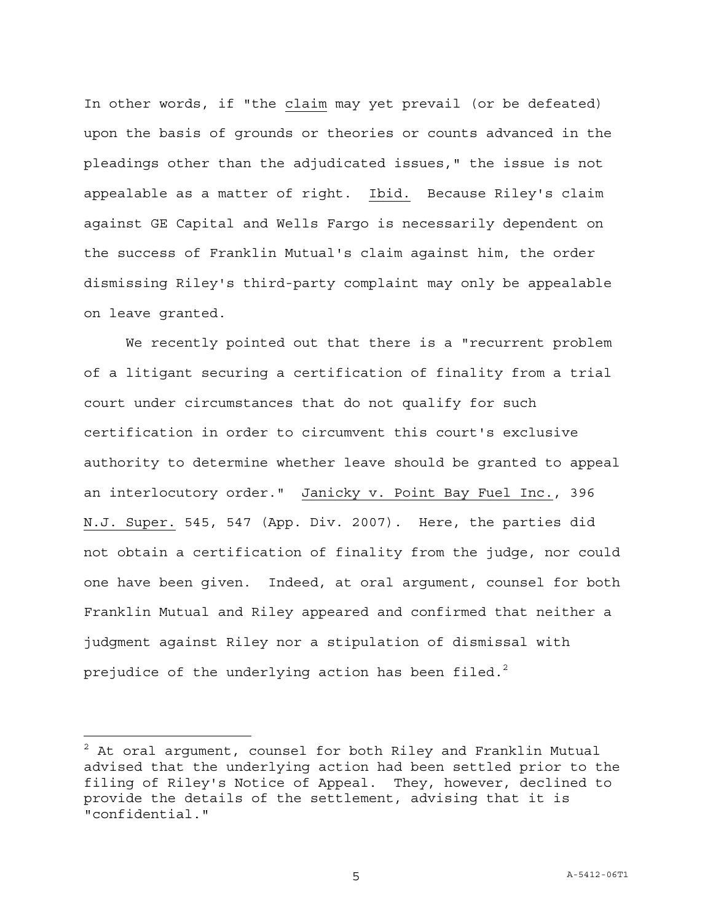In other words, if "the claim may yet prevail (or be defeated) upon the basis of grounds or theories or counts advanced in the pleadings other than the adjudicated issues," the issue is not appealable as a matter of right. Ibid. Because Riley's claim against GE Capital and Wells Fargo is necessarily dependent on the success of Franklin Mutual's claim against him, the order dismissing Riley's third-party complaint may only be appealable on leave granted.

We recently pointed out that there is a "recurrent problem of a litigant securing a certification of finality from a trial court under circumstances that do not qualify for such certification in order to circumvent this court's exclusive authority to determine whether leave should be granted to appeal an interlocutory order." Janicky v. Point Bay Fuel Inc., 396 N.J. Super. 545, 547 (App. Div. 2007). Here, the parties did not obtain a certification of finality from the judge, nor could one have been given. Indeed, at oral argument, counsel for both Franklin Mutual and Riley appeared and confirmed that neither a judgment against Riley nor a stipulation of dismissal with prejudice of the underlying action has been filed. $^2$ 

a<br>B

 $^{\text{2}}$  At oral argument, counsel for both Riley and Franklin Mutual advised that the underlying action had been settled prior to the filing of Riley's Notice of Appeal. They, however, declined to provide the details of the settlement, advising that it is "confidential."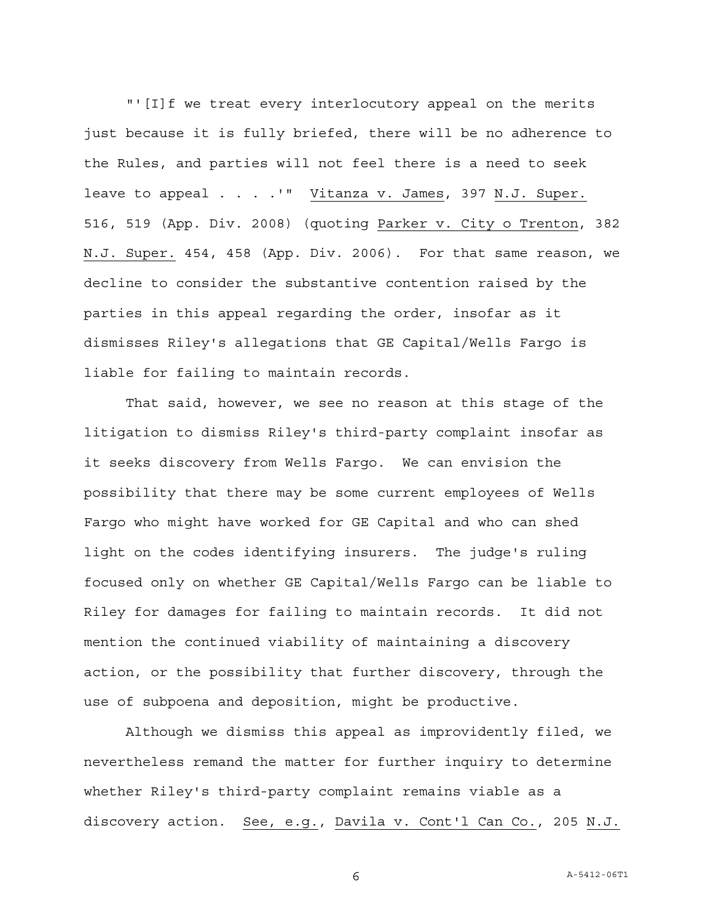"'[I]f we treat every interlocutory appeal on the merits just because it is fully briefed, there will be no adherence to the Rules, and parties will not feel there is a need to seek leave to appeal . . . . " Vitanza v. James, 397 N.J. Super. 516, 519 (App. Div. 2008) (quoting Parker v. City o Trenton, 382 N.J. Super. 454, 458 (App. Div. 2006). For that same reason, we decline to consider the substantive contention raised by the parties in this appeal regarding the order, insofar as it dismisses Riley's allegations that GE Capital/Wells Fargo is liable for failing to maintain records.

That said, however, we see no reason at this stage of the litigation to dismiss Riley's third-party complaint insofar as it seeks discovery from Wells Fargo. We can envision the possibility that there may be some current employees of Wells Fargo who might have worked for GE Capital and who can shed light on the codes identifying insurers. The judge's ruling focused only on whether GE Capital/Wells Fargo can be liable to Riley for damages for failing to maintain records. It did not mention the continued viability of maintaining a discovery action, or the possibility that further discovery, through the use of subpoena and deposition, might be productive.

Although we dismiss this appeal as improvidently filed, we nevertheless remand the matter for further inquiry to determine whether Riley's third-party complaint remains viable as a discovery action. See, e.g., Davila v. Cont'l Can Co., 205 N.J.